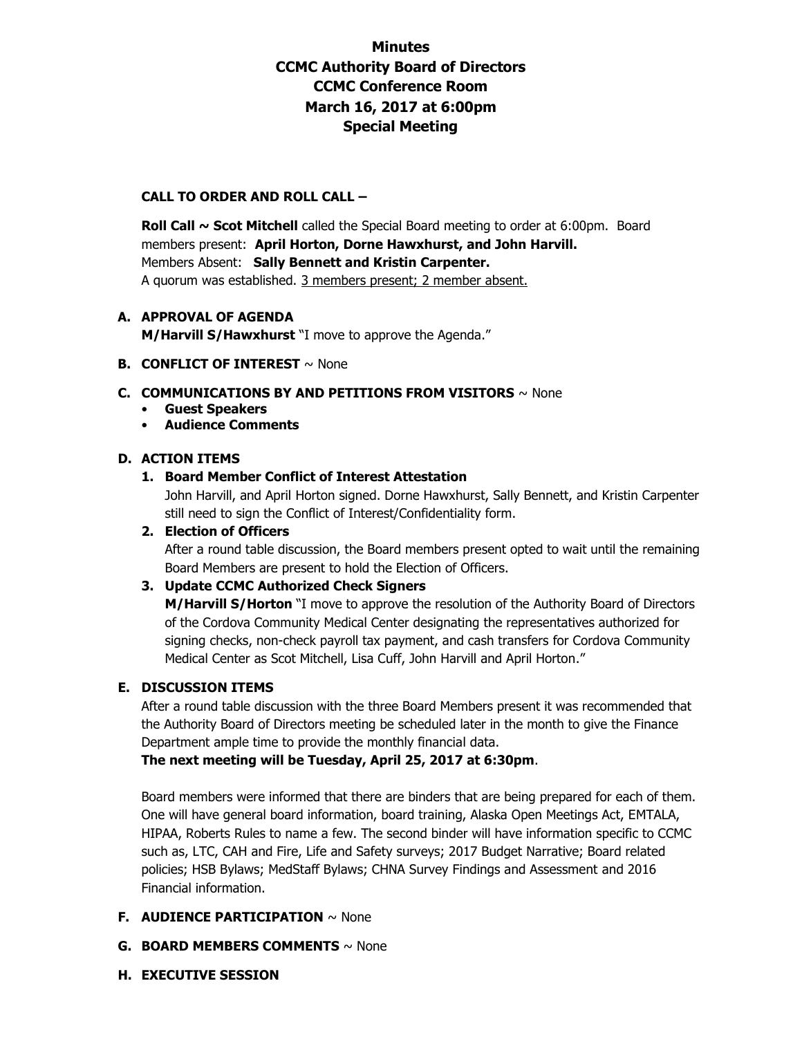# **Minutes CCMC Authority Board of Directors CCMC Conference Room March 16, 2017 at 6:00pm Special Meeting**

## **CALL TO ORDER AND ROLL CALL –**

**Roll Call ~ Scot Mitchell** called the Special Board meeting to order at 6:00pm. Board members present: **April Horton, Dorne Hawxhurst, and John Harvill.**  Members Absent: **Sally Bennett and Kristin Carpenter.**  A quorum was established. 3 members present; 2 member absent.

# **A. APPROVAL OF AGENDA**

**M/Harvill S/Hawxhurst** "I move to approve the Agenda."

### **B. CONFLICT OF INTEREST** ~ None

### **C. COMMUNICATIONS BY AND PETITIONS FROM VISITORS** ~ None

- **Guest Speakers**
- **Audience Comments**

# **D. ACTION ITEMS**

# **1. Board Member Conflict of Interest Attestation**

John Harvill, and April Horton signed. Dorne Hawxhurst, Sally Bennett, and Kristin Carpenter still need to sign the Conflict of Interest/Confidentiality form.

## **2. Election of Officers**

After a round table discussion, the Board members present opted to wait until the remaining Board Members are present to hold the Election of Officers.

#### **3. Update CCMC Authorized Check Signers**

**M/Harvill S/Horton** "I move to approve the resolution of the Authority Board of Directors of the Cordova Community Medical Center designating the representatives authorized for signing checks, non-check payroll tax payment, and cash transfers for Cordova Community Medical Center as Scot Mitchell, Lisa Cuff, John Harvill and April Horton."

#### **E. DISCUSSION ITEMS**

After a round table discussion with the three Board Members present it was recommended that the Authority Board of Directors meeting be scheduled later in the month to give the Finance Department ample time to provide the monthly financial data.

**The next meeting will be Tuesday, April 25, 2017 at 6:30pm**.

Board members were informed that there are binders that are being prepared for each of them. One will have general board information, board training, Alaska Open Meetings Act, EMTALA, HIPAA, Roberts Rules to name a few. The second binder will have information specific to CCMC such as, LTC, CAH and Fire, Life and Safety surveys; 2017 Budget Narrative; Board related policies; HSB Bylaws; MedStaff Bylaws; CHNA Survey Findings and Assessment and 2016 Financial information.

# **F. AUDIENCE PARTICIPATION** ~ None

- **G. BOARD MEMBERS COMMENTS** ~ None
- **H. EXECUTIVE SESSION**